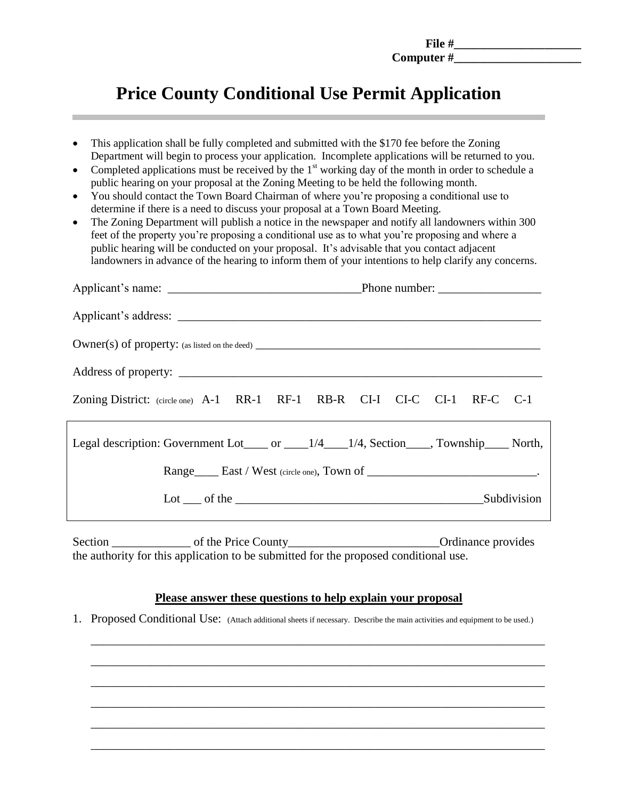**File #\_\_\_\_\_\_\_\_\_\_\_\_\_\_\_\_\_\_\_\_\_\_ Computer #\_\_\_\_\_\_\_\_\_\_\_\_\_\_\_\_\_\_\_\_\_**

# **Price County Conditional Use Permit Application**

- This application shall be fully completed and submitted with the \$170 fee before the Zoning Department will begin to process your application. Incomplete applications will be returned to you.
- Completed applications must be received by the  $1<sup>st</sup>$  working day of the month in order to schedule a public hearing on your proposal at the Zoning Meeting to be held the following month.
- You should contact the Town Board Chairman of where you're proposing a conditional use to determine if there is a need to discuss your proposal at a Town Board Meeting.
- The Zoning Department will publish a notice in the newspaper and notify all landowners within 300 feet of the property you're proposing a conditional use as to what you're proposing and where a public hearing will be conducted on your proposal. It's advisable that you contact adjacent landowners in advance of the hearing to inform them of your intentions to help clarify any concerns.

| Zoning District: (circle one) A-1 RR-1 RF-1 RB-R CI-I CI-C CI-1 RF-C C-1                 |                        |  |
|------------------------------------------------------------------------------------------|------------------------|--|
| Legal description: Government Lot____ or ____1/4___1/4, Section____, Township____ North, |                        |  |
|                                                                                          |                        |  |
|                                                                                          | Lot of the Subdivision |  |

Section \_\_\_\_\_\_\_\_\_\_\_\_\_\_\_\_\_\_ of the Price County\_\_\_\_\_\_\_\_\_\_\_\_\_\_\_\_\_\_\_\_\_\_\_\_\_\_\_\_\_\_\_\_\_Ordinance provides the authority for this application to be submitted for the proposed conditional use.

## **Please answer these questions to help explain your proposal**

\_\_\_\_\_\_\_\_\_\_\_\_\_\_\_\_\_\_\_\_\_\_\_\_\_\_\_\_\_\_\_\_\_\_\_\_\_\_\_\_\_\_\_\_\_\_\_\_\_\_\_\_\_\_\_\_\_\_\_\_\_\_\_\_\_\_\_\_\_\_\_\_\_\_\_

\_\_\_\_\_\_\_\_\_\_\_\_\_\_\_\_\_\_\_\_\_\_\_\_\_\_\_\_\_\_\_\_\_\_\_\_\_\_\_\_\_\_\_\_\_\_\_\_\_\_\_\_\_\_\_\_\_\_\_\_\_\_\_\_\_\_\_\_\_\_\_\_\_\_\_

\_\_\_\_\_\_\_\_\_\_\_\_\_\_\_\_\_\_\_\_\_\_\_\_\_\_\_\_\_\_\_\_\_\_\_\_\_\_\_\_\_\_\_\_\_\_\_\_\_\_\_\_\_\_\_\_\_\_\_\_\_\_\_\_\_\_\_\_\_\_\_\_\_\_\_

\_\_\_\_\_\_\_\_\_\_\_\_\_\_\_\_\_\_\_\_\_\_\_\_\_\_\_\_\_\_\_\_\_\_\_\_\_\_\_\_\_\_\_\_\_\_\_\_\_\_\_\_\_\_\_\_\_\_\_\_\_\_\_\_\_\_\_\_\_\_\_\_\_\_\_

\_\_\_\_\_\_\_\_\_\_\_\_\_\_\_\_\_\_\_\_\_\_\_\_\_\_\_\_\_\_\_\_\_\_\_\_\_\_\_\_\_\_\_\_\_\_\_\_\_\_\_\_\_\_\_\_\_\_\_\_\_\_\_\_\_\_\_\_\_\_\_\_\_\_\_

\_\_\_\_\_\_\_\_\_\_\_\_\_\_\_\_\_\_\_\_\_\_\_\_\_\_\_\_\_\_\_\_\_\_\_\_\_\_\_\_\_\_\_\_\_\_\_\_\_\_\_\_\_\_\_\_\_\_\_\_\_\_\_\_\_\_\_\_\_\_\_\_\_\_\_

1. Proposed Conditional Use: (Attach additional sheets if necessary. Describe the main activities and equipment to be used.)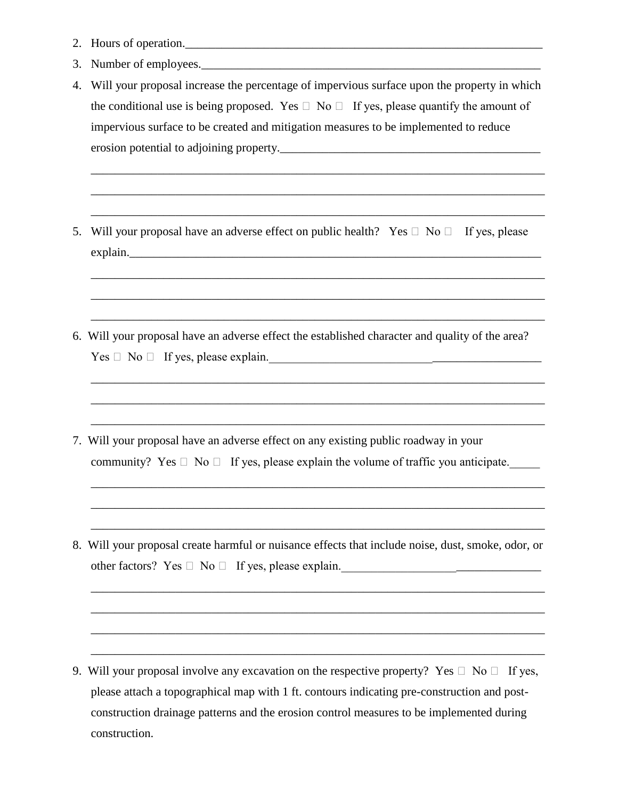- 2. Hours of operation.\_\_\_\_\_\_\_\_\_\_\_\_\_\_\_\_\_\_\_\_\_\_\_\_\_\_\_\_\_\_\_\_\_\_\_\_\_\_\_\_\_\_\_\_\_\_\_\_\_\_\_\_\_\_\_\_\_\_\_
- 3. Number of employees.
- 4. Will your proposal increase the percentage of impervious surface upon the property in which the conditional use is being proposed. Yes  $\Box$  No  $\Box$  If yes, please quantify the amount of impervious surface to be created and mitigation measures to be implemented to reduce erosion potential to adjoining property.

\_\_\_\_\_\_\_\_\_\_\_\_\_\_\_\_\_\_\_\_\_\_\_\_\_\_\_\_\_\_\_\_\_\_\_\_\_\_\_\_\_\_\_\_\_\_\_\_\_\_\_\_\_\_\_\_\_\_\_\_\_\_\_\_\_\_\_\_\_\_\_\_\_\_\_

\_\_\_\_\_\_\_\_\_\_\_\_\_\_\_\_\_\_\_\_\_\_\_\_\_\_\_\_\_\_\_\_\_\_\_\_\_\_\_\_\_\_\_\_\_\_\_\_\_\_\_\_\_\_\_\_\_\_\_\_\_\_\_\_\_\_\_\_\_\_\_\_\_\_\_

\_\_\_\_\_\_\_\_\_\_\_\_\_\_\_\_\_\_\_\_\_\_\_\_\_\_\_\_\_\_\_\_\_\_\_\_\_\_\_\_\_\_\_\_\_\_\_\_\_\_\_\_\_\_\_\_\_\_\_\_\_\_\_\_\_\_\_\_\_\_\_\_\_\_\_

\_\_\_\_\_\_\_\_\_\_\_\_\_\_\_\_\_\_\_\_\_\_\_\_\_\_\_\_\_\_\_\_\_\_\_\_\_\_\_\_\_\_\_\_\_\_\_\_\_\_\_\_\_\_\_\_\_\_\_\_\_\_\_\_\_\_\_\_\_\_\_\_\_\_\_

\_\_\_\_\_\_\_\_\_\_\_\_\_\_\_\_\_\_\_\_\_\_\_\_\_\_\_\_\_\_\_\_\_\_\_\_\_\_\_\_\_\_\_\_\_\_\_\_\_\_\_\_\_\_\_\_\_\_\_\_\_\_\_\_\_\_\_\_\_\_\_\_\_\_\_

\_\_\_\_\_\_\_\_\_\_\_\_\_\_\_\_\_\_\_\_\_\_\_\_\_\_\_\_\_\_\_\_\_\_\_\_\_\_\_\_\_\_\_\_\_\_\_\_\_\_\_\_\_\_\_\_\_\_\_\_\_\_\_\_\_\_\_\_\_\_\_\_\_\_\_

\_\_\_\_\_\_\_\_\_\_\_\_\_\_\_\_\_\_\_\_\_\_\_\_\_\_\_\_\_\_\_\_\_\_\_\_\_\_\_\_\_\_\_\_\_\_\_\_\_\_\_\_\_\_\_\_\_\_\_\_\_\_\_\_\_\_\_\_\_\_\_\_\_\_\_

\_\_\_\_\_\_\_\_\_\_\_\_\_\_\_\_\_\_\_\_\_\_\_\_\_\_\_\_\_\_\_\_\_\_\_\_\_\_\_\_\_\_\_\_\_\_\_\_\_\_\_\_\_\_\_\_\_\_\_\_\_\_\_\_\_\_\_\_\_\_\_\_\_\_\_

 $\ldots$  . The contribution of the contribution of the contribution of the contribution of the contribution of the contribution of the contribution of the contribution of the contribution of the contribution of the contribut

\_\_\_\_\_\_\_\_\_\_\_\_\_\_\_\_\_\_\_\_\_\_\_\_\_\_\_\_\_\_\_\_\_\_\_\_\_\_\_\_\_\_\_\_\_\_\_\_\_\_\_\_\_\_\_\_\_\_\_\_\_\_\_\_\_\_\_\_\_\_\_\_\_\_\_

\_\_\_\_\_\_\_\_\_\_\_\_\_\_\_\_\_\_\_\_\_\_\_\_\_\_\_\_\_\_\_\_\_\_\_\_\_\_\_\_\_\_\_\_\_\_\_\_\_\_\_\_\_\_\_\_\_\_\_\_\_\_\_\_\_\_\_\_\_\_\_\_\_\_\_

\_\_\_\_\_\_\_\_\_\_\_\_\_\_\_\_\_\_\_\_\_\_\_\_\_\_\_\_\_\_\_\_\_\_\_\_\_\_\_\_\_\_\_\_\_\_\_\_\_\_\_\_\_\_\_\_\_\_\_\_\_\_\_\_\_\_\_\_\_\_\_\_\_\_\_

\_\_\_\_\_\_\_\_\_\_\_\_\_\_\_\_\_\_\_\_\_\_\_\_\_\_\_\_\_\_\_\_\_\_\_\_\_\_\_\_\_\_\_\_\_\_\_\_\_\_\_\_\_\_\_\_\_\_\_\_\_\_\_\_\_\_\_\_\_\_\_\_\_\_\_

\_\_\_\_\_\_\_\_\_\_\_\_\_\_\_\_\_\_\_\_\_\_\_\_\_\_\_\_\_\_\_\_\_\_\_\_\_\_\_\_\_\_\_\_\_\_\_\_\_\_\_\_\_\_\_\_\_\_\_\_\_\_\_\_\_\_\_\_\_\_\_\_\_\_\_

\_\_\_\_\_\_\_\_\_\_\_\_\_\_\_\_\_\_\_\_\_\_\_\_\_\_\_\_\_\_\_\_\_\_\_\_\_\_\_\_\_\_\_\_\_\_\_\_\_\_\_\_\_\_\_\_\_\_\_\_\_\_\_\_\_\_\_\_\_\_\_\_\_\_\_

- 5. Will your proposal have an adverse effect on public health? Yes  $\Box$  No  $\Box$  If yes, please explain.\_\_\_\_\_\_\_\_\_\_\_\_\_\_\_\_\_\_\_\_\_\_\_\_\_\_\_\_\_\_\_\_\_\_\_\_\_\_\_\_\_\_\_\_\_\_\_\_\_\_\_\_\_\_\_\_\_\_\_\_\_\_\_\_\_\_\_\_
- 6. Will your proposal have an adverse effect the established character and quality of the area?  $Yes \Box No \Box If yes, please explain.$
- 7. Will your proposal have an adverse effect on any existing public roadway in your community? Yes  $\Box$  No  $\Box$  If yes, please explain the volume of traffic you anticipate.

 $\mathcal{L}_\mathcal{L} = \{ \mathcal{L}_\mathcal{L} = \{ \mathcal{L}_\mathcal{L} = \{ \mathcal{L}_\mathcal{L} = \{ \mathcal{L}_\mathcal{L} = \{ \mathcal{L}_\mathcal{L} = \{ \mathcal{L}_\mathcal{L} = \{ \mathcal{L}_\mathcal{L} = \{ \mathcal{L}_\mathcal{L} = \{ \mathcal{L}_\mathcal{L} = \{ \mathcal{L}_\mathcal{L} = \{ \mathcal{L}_\mathcal{L} = \{ \mathcal{L}_\mathcal{L} = \{ \mathcal{L}_\mathcal{L} = \{ \mathcal{L}_\mathcal{$ 

8. Will your proposal create harmful or nuisance effects that include noise, dust, smoke, odor, or other factors? Yes  $\Box$  No  $\Box$  If yes, please explain.

9. Will your proposal involve any excavation on the respective property? Yes  $\Box$  No  $\Box$  If yes, please attach a topographical map with 1 ft. contours indicating pre-construction and postconstruction drainage patterns and the erosion control measures to be implemented during construction.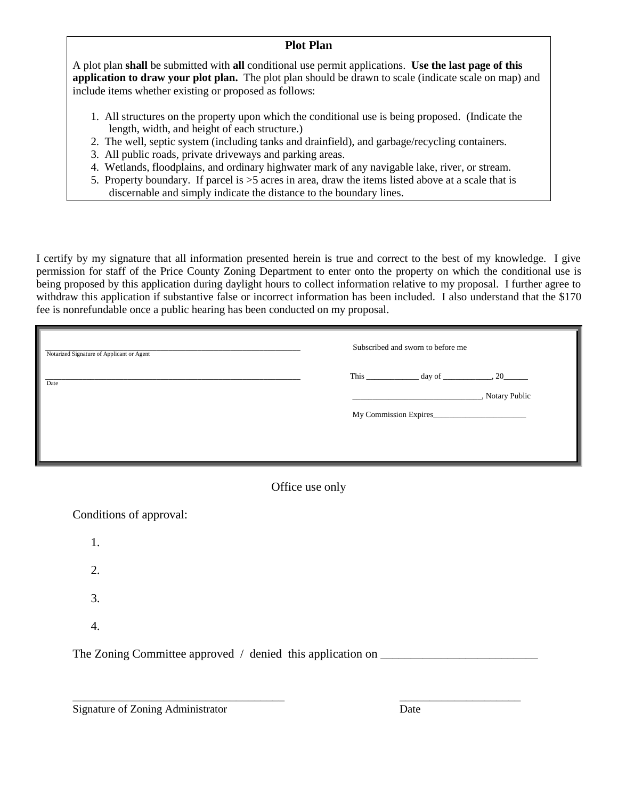#### **Plot Plan**

A plot plan **shall** be submitted with **all** conditional use permit applications. **Use the last page of this application to draw your plot plan.** The plot plan should be drawn to scale (indicate scale on map) and include items whether existing or proposed as follows:

- 1. All structures on the property upon which the conditional use is being proposed. (Indicate the length, width, and height of each structure.)
- 2. The well, septic system (including tanks and drainfield), and garbage/recycling containers.
- 3. All public roads, private driveways and parking areas.
- 4. Wetlands, floodplains, and ordinary highwater mark of any navigable lake, river, or stream.
- 5. Property boundary. If parcel is >5 acres in area, draw the items listed above at a scale that is discernable and simply indicate the distance to the boundary lines.

I certify by my signature that all information presented herein is true and correct to the best of my knowledge. I give permission for staff of the Price County Zoning Department to enter onto the property on which the conditional use is being proposed by this application during daylight hours to collect information relative to my proposal. I further agree to withdraw this application if substantive false or incorrect information has been included. I also understand that the \$170 fee is nonrefundable once a public hearing has been conducted on my proposal.

| Notarized Signature of Applicant or Agent | Subscribed and sworn to before me |                       |                 |
|-------------------------------------------|-----------------------------------|-----------------------|-----------------|
| Date                                      |                                   |                       | , Notary Public |
|                                           |                                   | My Commission Expires |                 |
|                                           |                                   |                       |                 |

## Office use only

Conditions of approval: 1. 2. 3. 4. The Zoning Committee approved / denied this application on \_\_\_\_\_\_\_\_\_\_\_\_\_\_\_\_\_\_\_\_\_

\_\_\_\_\_\_\_\_\_\_\_\_\_\_\_\_\_\_\_\_\_\_\_\_\_\_\_\_\_\_\_\_\_\_\_ \_\_\_\_\_\_\_\_\_\_\_\_\_\_\_\_\_\_\_\_

Signature of Zoning Administrator Date